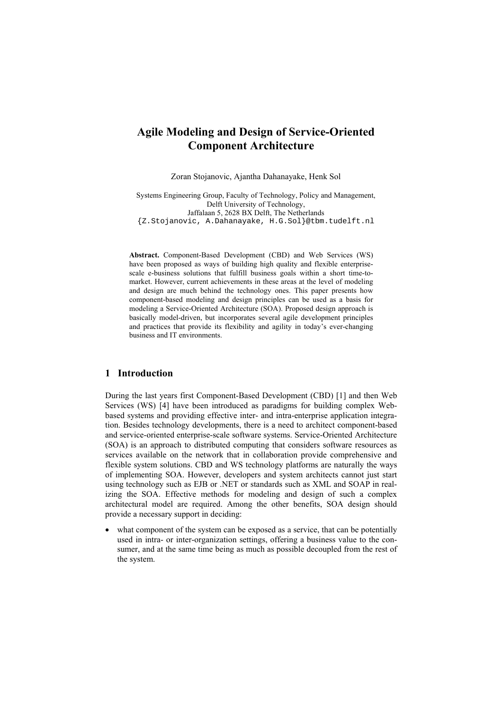# **Agile Modeling and Design of Service-Oriented Component Architecture**

Zoran Stojanovic, Ajantha Dahanayake, Henk Sol

Systems Engineering Group, Faculty of Technology, Policy and Management, Delft University of Technology, Jaffalaan 5, 2628 BX Delft, The Netherlands {Z.Stojanovic, A.Dahanayake, H.G.Sol}@tbm.tudelft.nl

**Abstract.** Component-Based Development (CBD) and Web Services (WS) have been proposed as ways of building high quality and flexible enterprisescale e-business solutions that fulfill business goals within a short time-tomarket. However, current achievements in these areas at the level of modeling and design are much behind the technology ones. This paper presents how component-based modeling and design principles can be used as a basis for modeling a Service-Oriented Architecture (SOA). Proposed design approach is basically model-driven, but incorporates several agile development principles and practices that provide its flexibility and agility in today's ever-changing business and IT environments.

## **1 Introduction**

During the last years first Component-Based Development (CBD) [1] and then Web Services (WS) [4] have been introduced as paradigms for building complex Webbased systems and providing effective inter- and intra-enterprise application integration. Besides technology developments, there is a need to architect component-based and service-oriented enterprise-scale software systems. Service-Oriented Architecture (SOA) is an approach to distributed computing that considers software resources as services available on the network that in collaboration provide comprehensive and flexible system solutions. CBD and WS technology platforms are naturally the ways of implementing SOA. However, developers and system architects cannot just start using technology such as EJB or .NET or standards such as XML and SOAP in realizing the SOA. Effective methods for modeling and design of such a complex architectural model are required. Among the other benefits, SOA design should provide a necessary support in deciding:

what component of the system can be exposed as a service, that can be potentially used in intra- or inter-organization settings, offering a business value to the consumer, and at the same time being as much as possible decoupled from the rest of the system.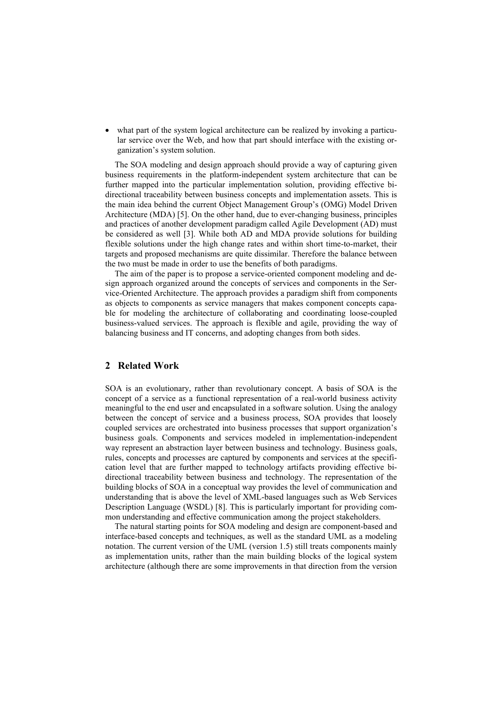what part of the system logical architecture can be realized by invoking a particular service over the Web, and how that part should interface with the existing organization's system solution.

The SOA modeling and design approach should provide a way of capturing given business requirements in the platform-independent system architecture that can be further mapped into the particular implementation solution, providing effective bidirectional traceability between business concepts and implementation assets. This is the main idea behind the current Object Management Group's (OMG) Model Driven Architecture (MDA) [5]. On the other hand, due to ever-changing business, principles and practices of another development paradigm called Agile Development (AD) must be considered as well [3]. While both AD and MDA provide solutions for building flexible solutions under the high change rates and within short time-to-market, their targets and proposed mechanisms are quite dissimilar. Therefore the balance between the two must be made in order to use the benefits of both paradigms.

The aim of the paper is to propose a service-oriented component modeling and design approach organized around the concepts of services and components in the Service-Oriented Architecture. The approach provides a paradigm shift from components as objects to components as service managers that makes component concepts capable for modeling the architecture of collaborating and coordinating loose-coupled business-valued services. The approach is flexible and agile, providing the way of balancing business and IT concerns, and adopting changes from both sides.

## **2 Related Work**

SOA is an evolutionary, rather than revolutionary concept. A basis of SOA is the concept of a service as a functional representation of a real-world business activity meaningful to the end user and encapsulated in a software solution. Using the analogy between the concept of service and a business process, SOA provides that loosely coupled services are orchestrated into business processes that support organization's business goals. Components and services modeled in implementation-independent way represent an abstraction layer between business and technology. Business goals, rules, concepts and processes are captured by components and services at the specification level that are further mapped to technology artifacts providing effective bidirectional traceability between business and technology. The representation of the building blocks of SOA in a conceptual way provides the level of communication and understanding that is above the level of XML-based languages such as Web Services Description Language (WSDL) [8]. This is particularly important for providing common understanding and effective communication among the project stakeholders.

The natural starting points for SOA modeling and design are component-based and interface-based concepts and techniques, as well as the standard UML as a modeling notation. The current version of the UML (version 1.5) still treats components mainly as implementation units, rather than the main building blocks of the logical system architecture (although there are some improvements in that direction from the version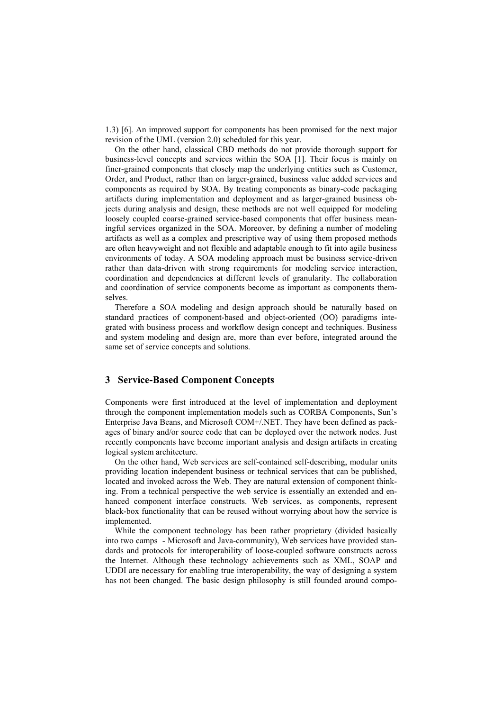1.3) [6]. An improved support for components has been promised for the next major revision of the UML (version 2.0) scheduled for this year.

On the other hand, classical CBD methods do not provide thorough support for business-level concepts and services within the SOA [1]. Their focus is mainly on finer-grained components that closely map the underlying entities such as Customer, Order, and Product, rather than on larger-grained, business value added services and components as required by SOA. By treating components as binary-code packaging artifacts during implementation and deployment and as larger-grained business objects during analysis and design, these methods are not well equipped for modeling loosely coupled coarse-grained service-based components that offer business meaningful services organized in the SOA. Moreover, by defining a number of modeling artifacts as well as a complex and prescriptive way of using them proposed methods are often heavyweight and not flexible and adaptable enough to fit into agile business environments of today. A SOA modeling approach must be business service-driven rather than data-driven with strong requirements for modeling service interaction, coordination and dependencies at different levels of granularity. The collaboration and coordination of service components become as important as components themselves.

Therefore a SOA modeling and design approach should be naturally based on standard practices of component-based and object-oriented (OO) paradigms integrated with business process and workflow design concept and techniques. Business and system modeling and design are, more than ever before, integrated around the same set of service concepts and solutions.

#### **3 Service-Based Component Concepts**

Components were first introduced at the level of implementation and deployment through the component implementation models such as CORBA Components, Sun's Enterprise Java Beans, and Microsoft COM+/.NET. They have been defined as packages of binary and/or source code that can be deployed over the network nodes. Just recently components have become important analysis and design artifacts in creating logical system architecture.

On the other hand, Web services are self-contained self-describing, modular units providing location independent business or technical services that can be published, located and invoked across the Web. They are natural extension of component thinking. From a technical perspective the web service is essentially an extended and enhanced component interface constructs. Web services, as components, represent black-box functionality that can be reused without worrying about how the service is implemented.

While the component technology has been rather proprietary (divided basically into two camps - Microsoft and Java-community), Web services have provided standards and protocols for interoperability of loose-coupled software constructs across the Internet. Although these technology achievements such as XML, SOAP and UDDI are necessary for enabling true interoperability, the way of designing a system has not been changed. The basic design philosophy is still founded around compo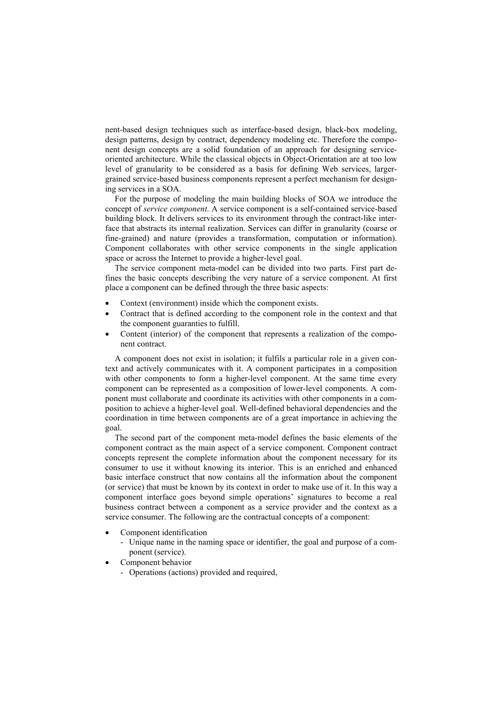nent-based design techniques such as interface-based design, black-box modeling, design patterns, design by contract, dependency modeling etc. Therefore the component design concepts are a solid foundation of an approach for designing serviceoriented architecture. While the classical objects in Object-Orientation are at too low level of granularity to be considered as a basis for defining Web services, largergrained service-based business components represent a perfect mechanism for designing services in a SOA.

For the purpose of modeling the main building blocks of SOA we introduce the concept of *service component*. A service component is a self-contained service-based building block. It delivers services to its environment through the contract-like interface that abstracts its internal realization. Services can differ in granularity (coarse or fine-grained) and nature (provides a transformation, computation or information). Component collaborates with other service components in the single application space or across the Internet to provide a higher-level goal.

The service component meta-model can be divided into two parts. First part defines the basic concepts describing the very nature of a service component. At first place a component can be defined through the three basic aspects:

- Context (environment) inside which the component exists.
- Contract that is defined according to the component role in the context and that the component guaranties to fulfill.
- Content (interior) of the component that represents a realization of the component contract.

A component does not exist in isolation; it fulfils a particular role in a given context and actively communicates with it. A component participates in a composition with other components to form a higher-level component. At the same time every component can be represented as a composition of lower-level components. A component must collaborate and coordinate its activities with other components in a composition to achieve a higher-level goal. Well-defined behavioral dependencies and the coordination in time between components are of a great importance in achieving the goal.

The second part of the component meta-model defines the basic elements of the component contract as the main aspect of a service component. Component contract concepts represent the complete information about the component necessary for its consumer to use it without knowing its interior. This is an enriched and enhanced basic interface construct that now contains all the information about the component (or service) that must be known by its context in order to make use of it. In this way a component interface goes beyond simple operations' signatures to become a real business contract between a component as a service provider and the context as a service consumer. The following are the contractual concepts of a component:

- Component identification
	- Unique name in the naming space or identifier, the goal and purpose of a component (service).
- Component behavior
	- Operations (actions) provided and required,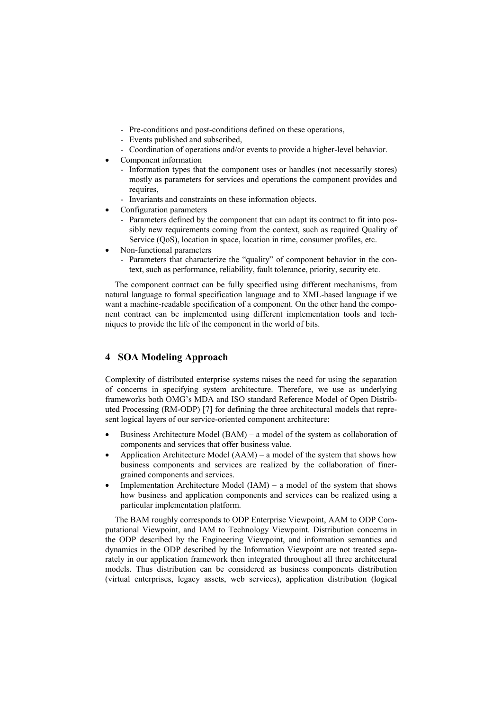- Pre-conditions and post-conditions defined on these operations,
- Events published and subscribed,
- Coordination of operations and/or events to provide a higher-level behavior.
- Component information
	- Information types that the component uses or handles (not necessarily stores) mostly as parameters for services and operations the component provides and requires,
	- Invariants and constraints on these information objects.
- Configuration parameters
	- Parameters defined by the component that can adapt its contract to fit into possibly new requirements coming from the context, such as required Quality of Service (QoS), location in space, location in time, consumer profiles, etc.
- Non-functional parameters
	- Parameters that characterize the "quality" of component behavior in the context, such as performance, reliability, fault tolerance, priority, security etc.

The component contract can be fully specified using different mechanisms, from natural language to formal specification language and to XML-based language if we want a machine-readable specification of a component. On the other hand the component contract can be implemented using different implementation tools and techniques to provide the life of the component in the world of bits.

# **4 SOA Modeling Approach**

Complexity of distributed enterprise systems raises the need for using the separation of concerns in specifying system architecture. Therefore, we use as underlying frameworks both OMG's MDA and ISO standard Reference Model of Open Distributed Processing (RM-ODP) [7] for defining the three architectural models that represent logical layers of our service-oriented component architecture:

- Business Architecture Model (BAM) a model of the system as collaboration of components and services that offer business value.
- Application Architecture Model  $(AAM)$  a model of the system that shows how business components and services are realized by the collaboration of finergrained components and services.
- Implementation Architecture Model (IAM) a model of the system that shows how business and application components and services can be realized using a particular implementation platform.

The BAM roughly corresponds to ODP Enterprise Viewpoint, AAM to ODP Computational Viewpoint, and IAM to Technology Viewpoint. Distribution concerns in the ODP described by the Engineering Viewpoint, and information semantics and dynamics in the ODP described by the Information Viewpoint are not treated separately in our application framework then integrated throughout all three architectural models. Thus distribution can be considered as business components distribution (virtual enterprises, legacy assets, web services), application distribution (logical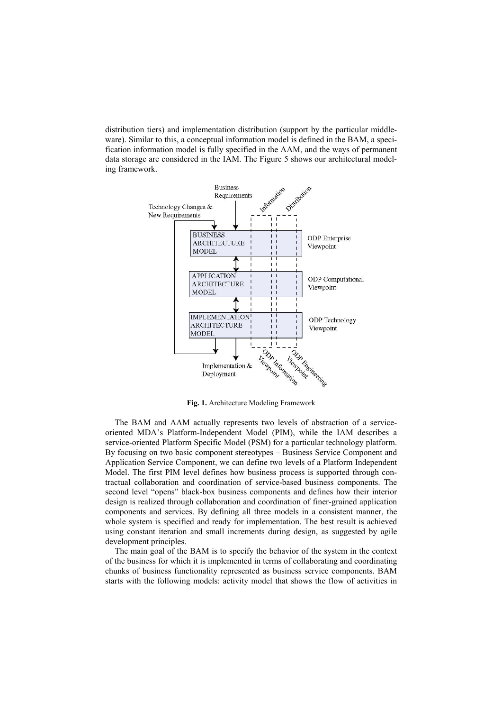distribution tiers) and implementation distribution (support by the particular middleware). Similar to this, a conceptual information model is defined in the BAM, a specification information model is fully specified in the AAM, and the ways of permanent data storage are considered in the IAM. The Figure 5 shows our architectural modeling framework.



**Fig. 1.** Architecture Modeling Framework

The BAM and AAM actually represents two levels of abstraction of a serviceoriented MDA's Platform-Independent Model (PIM), while the IAM describes a service-oriented Platform Specific Model (PSM) for a particular technology platform. By focusing on two basic component stereotypes – Business Service Component and Application Service Component, we can define two levels of a Platform Independent Model. The first PIM level defines how business process is supported through contractual collaboration and coordination of service-based business components. The second level "opens" black-box business components and defines how their interior design is realized through collaboration and coordination of finer-grained application components and services. By defining all three models in a consistent manner, the whole system is specified and ready for implementation. The best result is achieved using constant iteration and small increments during design, as suggested by agile development principles.

The main goal of the BAM is to specify the behavior of the system in the context of the business for which it is implemented in terms of collaborating and coordinating chunks of business functionality represented as business service components. BAM starts with the following models: activity model that shows the flow of activities in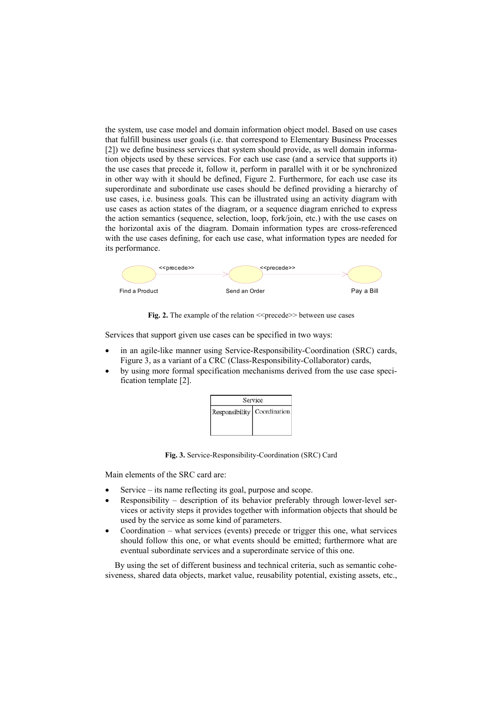the system, use case model and domain information object model. Based on use cases that fulfill business user goals (i.e. that correspond to Elementary Business Processes [2]) we define business services that system should provide, as well domain information objects used by these services. For each use case (and a service that supports it) the use cases that precede it, follow it, perform in parallel with it or be synchronized in other way with it should be defined, Figure 2. Furthermore, for each use case its superordinate and subordinate use cases should be defined providing a hierarchy of use cases, i.e. business goals. This can be illustrated using an activity diagram with use cases as action states of the diagram, or a sequence diagram enriched to express the action semantics (sequence, selection, loop, fork/join, etc.) with the use cases on the horizontal axis of the diagram. Domain information types are cross-referenced with the use cases defining, for each use case, what information types are needed for its performance.



**Fig. 2.** The example of the relation  $\leq$  precede>> between use cases

Services that support given use cases can be specified in two ways:

- in an agile-like manner using Service-Responsibility-Coordination (SRC) cards, Figure 3, as a variant of a CRC (Class-Responsibility-Collaborator) cards,
- by using more formal specification mechanisms derived from the use case specification template [2].



**Fig. 3.** Service-Responsibility-Coordination (SRC) Card

Main elements of the SRC card are:

- Service its name reflecting its goal, purpose and scope.
- Responsibility description of its behavior preferably through lower-level services or activity steps it provides together with information objects that should be used by the service as some kind of parameters.
- Coordination what services (events) precede or trigger this one, what services should follow this one, or what events should be emitted; furthermore what are eventual subordinate services and a superordinate service of this one.

By using the set of different business and technical criteria, such as semantic cohesiveness, shared data objects, market value, reusability potential, existing assets, etc.,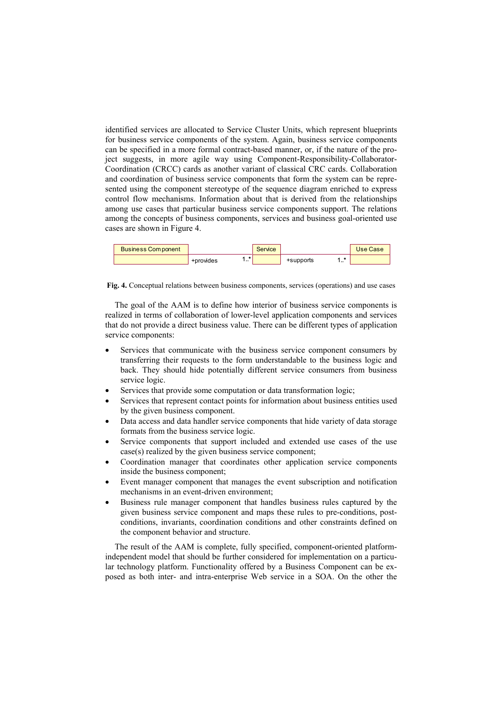identified services are allocated to Service Cluster Units, which represent blueprints for business service components of the system. Again, business service components can be specified in a more formal contract-based manner, or, if the nature of the project suggests, in more agile way using Component-Responsibility-Collaborator-Coordination (CRCC) cards as another variant of classical CRC cards. Collaboration and coordination of business service components that form the system can be represented using the component stereotype of the sequence diagram enriched to express control flow mechanisms. Information about that is derived from the relationships among use cases that particular business service components support. The relations among the concepts of business components, services and business goal-oriented use cases are shown in Figure 4.



**Fig. 4.** Conceptual relations between business components, services (operations) and use cases

The goal of the AAM is to define how interior of business service components is realized in terms of collaboration of lower-level application components and services that do not provide a direct business value. There can be different types of application service components:

- Services that communicate with the business service component consumers by transferring their requests to the form understandable to the business logic and back. They should hide potentially different service consumers from business service logic.
- Services that provide some computation or data transformation logic;
- Services that represent contact points for information about business entities used by the given business component.
- Data access and data handler service components that hide variety of data storage formats from the business service logic.
- Service components that support included and extended use cases of the use case(s) realized by the given business service component;
- Coordination manager that coordinates other application service components inside the business component;
- Event manager component that manages the event subscription and notification mechanisms in an event-driven environment;
- Business rule manager component that handles business rules captured by the given business service component and maps these rules to pre-conditions, postconditions, invariants, coordination conditions and other constraints defined on the component behavior and structure.

The result of the AAM is complete, fully specified, component-oriented platformindependent model that should be further considered for implementation on a particular technology platform. Functionality offered by a Business Component can be exposed as both inter- and intra-enterprise Web service in a SOA. On the other the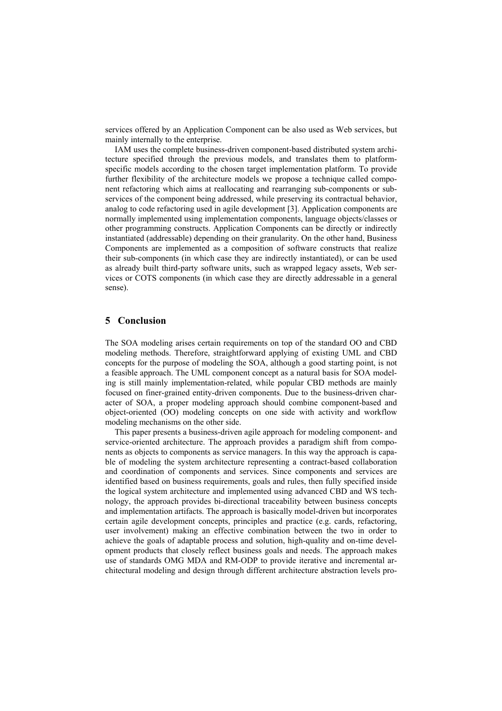services offered by an Application Component can be also used as Web services, but mainly internally to the enterprise.

IAM uses the complete business-driven component-based distributed system architecture specified through the previous models, and translates them to platformspecific models according to the chosen target implementation platform. To provide further flexibility of the architecture models we propose a technique called component refactoring which aims at reallocating and rearranging sub-components or subservices of the component being addressed, while preserving its contractual behavior, analog to code refactoring used in agile development [3]. Application components are normally implemented using implementation components, language objects/classes or other programming constructs. Application Components can be directly or indirectly instantiated (addressable) depending on their granularity. On the other hand, Business Components are implemented as a composition of software constructs that realize their sub-components (in which case they are indirectly instantiated), or can be used as already built third-party software units, such as wrapped legacy assets, Web services or COTS components (in which case they are directly addressable in a general sense).

#### **5 Conclusion**

The SOA modeling arises certain requirements on top of the standard OO and CBD modeling methods. Therefore, straightforward applying of existing UML and CBD concepts for the purpose of modeling the SOA, although a good starting point, is not a feasible approach. The UML component concept as a natural basis for SOA modeling is still mainly implementation-related, while popular CBD methods are mainly focused on finer-grained entity-driven components. Due to the business-driven character of SOA, a proper modeling approach should combine component-based and object-oriented (OO) modeling concepts on one side with activity and workflow modeling mechanisms on the other side.

This paper presents a business-driven agile approach for modeling component- and service-oriented architecture. The approach provides a paradigm shift from components as objects to components as service managers. In this way the approach is capable of modeling the system architecture representing a contract-based collaboration and coordination of components and services. Since components and services are identified based on business requirements, goals and rules, then fully specified inside the logical system architecture and implemented using advanced CBD and WS technology, the approach provides bi-directional traceability between business concepts and implementation artifacts. The approach is basically model-driven but incorporates certain agile development concepts, principles and practice (e.g. cards, refactoring, user involvement) making an effective combination between the two in order to achieve the goals of adaptable process and solution, high-quality and on-time development products that closely reflect business goals and needs. The approach makes use of standards OMG MDA and RM-ODP to provide iterative and incremental architectural modeling and design through different architecture abstraction levels pro